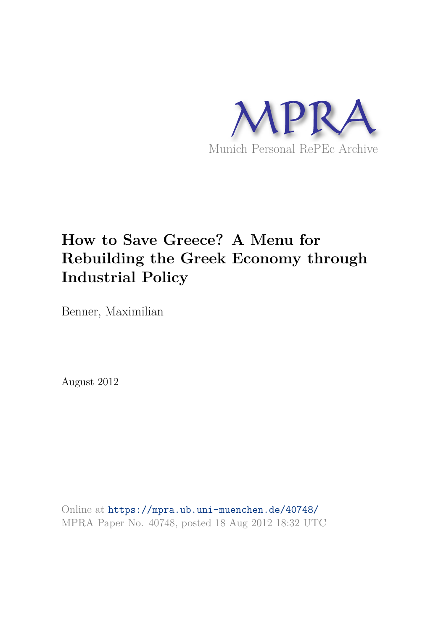

# **How to Save Greece? A Menu for Rebuilding the Greek Economy through Industrial Policy**

Benner, Maximilian

August 2012

Online at https://mpra.ub.uni-muenchen.de/40748/ MPRA Paper No. 40748, posted 18 Aug 2012 18:32 UTC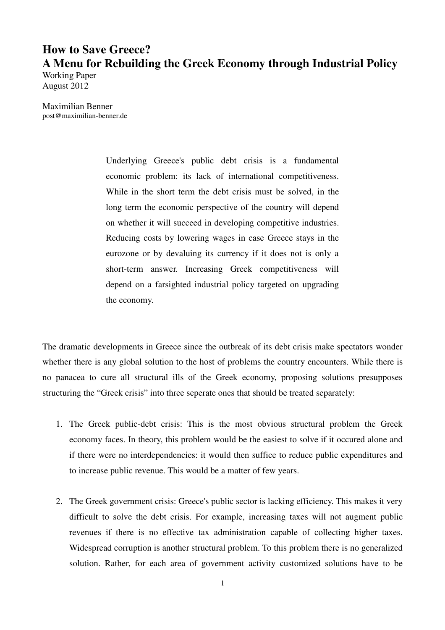# **How to Save Greece? A Menu for Rebuilding the Greek Economy through Industrial Policy**

Working Paper August 2012

Maximilian Benner post@maximilian-benner.de

> Underlying Greece's public debt crisis is a fundamental economic problem: its lack of international competitiveness. While in the short term the debt crisis must be solved, in the long term the economic perspective of the country will depend on whether it will succeed in developing competitive industries. Reducing costs by lowering wages in case Greece stays in the eurozone or by devaluing its currency if it does not is only a short-term answer. Increasing Greek competitiveness will depend on a farsighted industrial policy targeted on upgrading the economy.

The dramatic developments in Greece since the outbreak of its debt crisis make spectators wonder whether there is any global solution to the host of problems the country encounters. While there is no panacea to cure all structural ills of the Greek economy, proposing solutions presupposes structuring the "Greek crisis" into three seperate ones that should be treated separately:

- 1. The Greek public-debt crisis: This is the most obvious structural problem the Greek economy faces. In theory, this problem would be the easiest to solve if it occured alone and if there were no interdependencies: it would then suffice to reduce public expenditures and to increase public revenue. This would be a matter of few years.
- 2. The Greek government crisis: Greece's public sector is lacking efficiency. This makes it very difficult to solve the debt crisis. For example, increasing taxes will not augment public revenues if there is no effective tax administration capable of collecting higher taxes. Widespread corruption is another structural problem. To this problem there is no generalized solution. Rather, for each area of government activity customized solutions have to be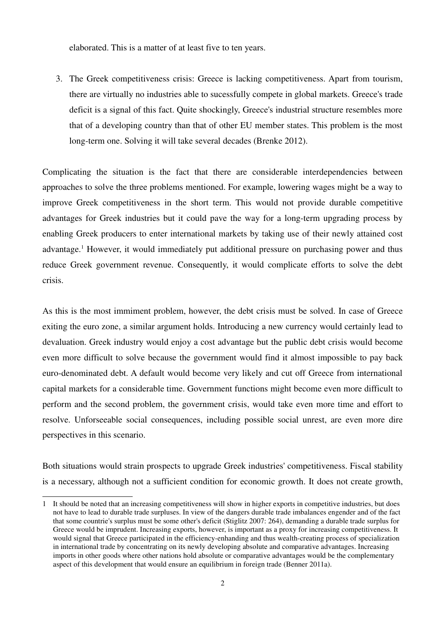elaborated. This is a matter of at least five to ten years.

3. The Greek competitiveness crisis: Greece is lacking competitiveness. Apart from tourism, there are virtually no industries able to sucessfully compete in global markets. Greece's trade deficit is a signal of this fact. Quite shockingly, Greece's industrial structure resembles more that of a developing country than that of other EU member states. This problem is the most long-term one. Solving it will take several decades (Brenke 2012).

Complicating the situation is the fact that there are considerable interdependencies between approaches to solve the three problems mentioned. For example, lowering wages might be a way to improve Greek competitiveness in the short term. This would not provide durable competitive advantages for Greek industries but it could pave the way for a long-term upgrading process by enabling Greek producers to enter international markets by taking use of their newly attained cost advantage.<sup>1</sup> However, it would immediately put additional pressure on purchasing power and thus reduce Greek government revenue. Consequently, it would complicate efforts to solve the debt crisis.

As this is the most immiment problem, however, the debt crisis must be solved. In case of Greece exiting the euro zone, a similar argument holds. Introducing a new currency would certainly lead to devaluation. Greek industry would enjoy a cost advantage but the public debt crisis would become even more difficult to solve because the government would find it almost impossible to pay back euro-denominated debt. A default would become very likely and cut off Greece from international capital markets for a considerable time. Government functions might become even more difficult to perform and the second problem, the government crisis, would take even more time and effort to resolve. Unforseeable social consequences, including possible social unrest, are even more dire perspectives in this scenario.

Both situations would strain prospects to upgrade Greek industries' competitiveness. Fiscal stability is a necessary, although not a sufficient condition for economic growth. It does not create growth,

<sup>1</sup> It should be noted that an increasing competitiveness will show in higher exports in competitive industries, but does not have to lead to durable trade surpluses. In view of the dangers durable trade imbalances engender and of the fact that some countrie's surplus must be some other's deficit (Stiglitz 2007: 264), demanding a durable trade surplus for Greece would be imprudent. Increasing exports, however, is important as a proxy for increasing competitiveness. It would signal that Greece participated in the efficiency-enhanding and thus wealth-creating process of specialization in international trade by concentrating on its newly developing absolute and comparative advantages. Increasing imports in other goods where other nations hold absolute or comparative advantages would be the complementary aspect of this development that would ensure an equilibrium in foreign trade (Benner 2011a).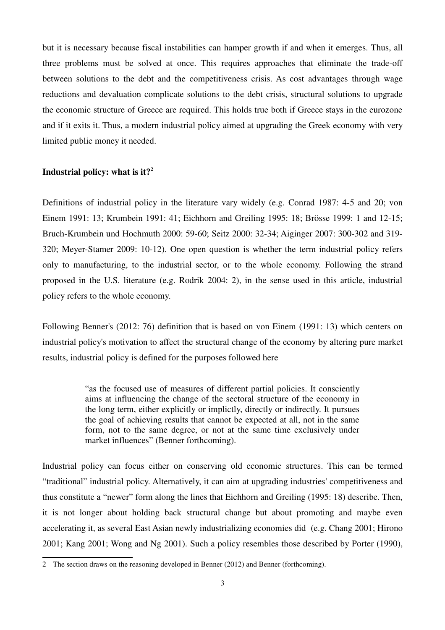but it is necessary because fiscal instabilities can hamper growth if and when it emerges. Thus, all three problems must be solved at once. This requires approaches that eliminate the trade-off between solutions to the debt and the competitiveness crisis. As cost advantages through wage reductions and devaluation complicate solutions to the debt crisis, structural solutions to upgrade the economic structure of Greece are required. This holds true both if Greece stays in the eurozone and if it exits it. Thus, a modern industrial policy aimed at upgrading the Greek economy with very limited public money it needed.

### **Industrial policy: what is it?<sup>2</sup>**

Definitions of industrial policy in the literature vary widely (e.g. Conrad 1987: 4-5 and 20; von Einem 1991: 13; Krumbein 1991: 41; Eichhorn and Greiling 1995: 18; Brösse 1999: 1 and 12-15; Bruch-Krumbein und Hochmuth 2000: 59-60; Seitz 2000: 32-34; Aiginger 2007: 300-302 and 319- 320; Meyer-Stamer 2009: 10-12). One open question is whether the term industrial policy refers only to manufacturing, to the industrial sector, or to the whole economy. Following the strand proposed in the U.S. literature (e.g. Rodrik 2004: 2), in the sense used in this article, industrial policy refers to the whole economy.

Following Benner's (2012: 76) definition that is based on von Einem (1991: 13) which centers on industrial policy's motivation to affect the structural change of the economy by altering pure market results, industrial policy is defined for the purposes followed here

> "as the focused use of measures of different partial policies. It consciently aims at influencing the change of the sectoral structure of the economy in the long term, either explicitly or implictly, directly or indirectly. It pursues the goal of achieving results that cannot be expected at all, not in the same form, not to the same degree, or not at the same time exclusively under market influences" (Benner forthcoming).

Industrial policy can focus either on conserving old economic structures. This can be termed "traditional" industrial policy. Alternatively, it can aim at upgrading industries' competitiveness and thus constitute a "newer" form along the lines that Eichhorn and Greiling (1995: 18) describe. Then, it is not longer about holding back structural change but about promoting and maybe even accelerating it, as several East Asian newly industrializing economies did (e.g. Chang 2001; Hirono 2001; Kang 2001; Wong and Ng 2001). Such a policy resembles those described by Porter (1990),

<sup>2</sup> The section draws on the reasoning developed in Benner (2012) and Benner (forthcoming).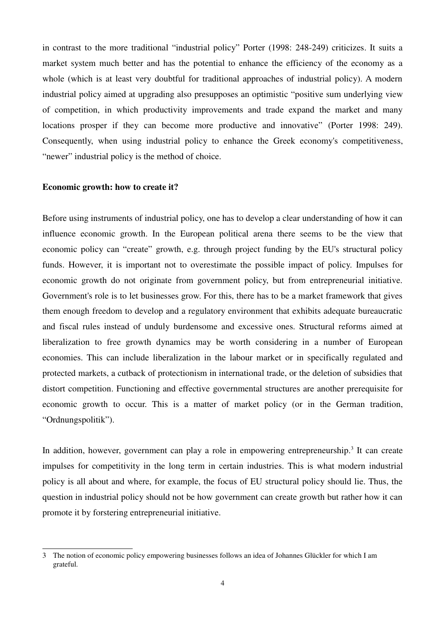in contrast to the more traditional "industrial policy" Porter (1998: 248-249) criticizes. It suits a market system much better and has the potential to enhance the efficiency of the economy as a whole (which is at least very doubtful for traditional approaches of industrial policy). A modern industrial policy aimed at upgrading also presupposes an optimistic "positive sum underlying view of competition, in which productivity improvements and trade expand the market and many locations prosper if they can become more productive and innovative" (Porter 1998: 249). Consequently, when using industrial policy to enhance the Greek economy's competitiveness, "newer" industrial policy is the method of choice.

#### **Economic growth: how to create it?**

Before using instruments of industrial policy, one has to develop a clear understanding of how it can influence economic growth. In the European political arena there seems to be the view that economic policy can "create" growth, e.g. through project funding by the EU's structural policy funds. However, it is important not to overestimate the possible impact of policy. Impulses for economic growth do not originate from government policy, but from entrepreneurial initiative. Government's role is to let businesses grow. For this, there has to be a market framework that gives them enough freedom to develop and a regulatory environment that exhibits adequate bureaucratic and fiscal rules instead of unduly burdensome and excessive ones. Structural reforms aimed at liberalization to free growth dynamics may be worth considering in a number of European economies. This can include liberalization in the labour market or in specifically regulated and protected markets, a cutback of protectionism in international trade, or the deletion of subsidies that distort competition. Functioning and effective governmental structures are another prerequisite for economic growth to occur. This is a matter of market policy (or in the German tradition, "Ordnungspolitik").

In addition, however, government can play a role in empowering entrepreneurship.<sup>3</sup> It can create impulses for competitivity in the long term in certain industries. This is what modern industrial policy is all about and where, for example, the focus of EU structural policy should lie. Thus, the question in industrial policy should not be how government can create growth but rather how it can promote it by forstering entrepreneurial initiative.

<sup>3</sup> The notion of economic policy empowering businesses follows an idea of Johannes Glückler for which I am grateful.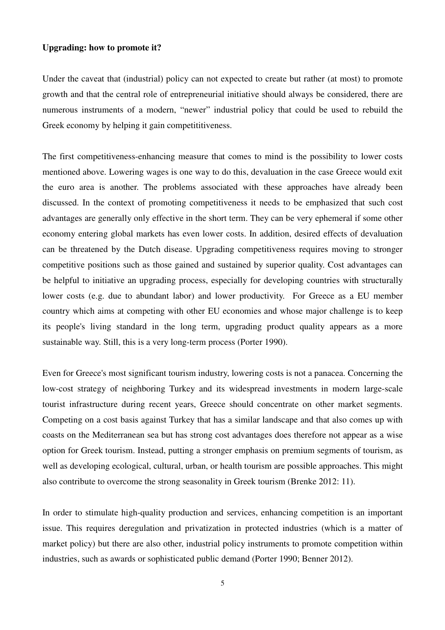#### **Upgrading: how to promote it?**

Under the caveat that (industrial) policy can not expected to create but rather (at most) to promote growth and that the central role of entrepreneurial initiative should always be considered, there are numerous instruments of a modern, "newer" industrial policy that could be used to rebuild the Greek economy by helping it gain competititiveness.

The first competitiveness-enhancing measure that comes to mind is the possibility to lower costs mentioned above. Lowering wages is one way to do this, devaluation in the case Greece would exit the euro area is another. The problems associated with these approaches have already been discussed. In the context of promoting competitiveness it needs to be emphasized that such cost advantages are generally only effective in the short term. They can be very ephemeral if some other economy entering global markets has even lower costs. In addition, desired effects of devaluation can be threatened by the Dutch disease. Upgrading competitiveness requires moving to stronger competitive positions such as those gained and sustained by superior quality. Cost advantages can be helpful to initiative an upgrading process, especially for developing countries with structurally lower costs (e.g. due to abundant labor) and lower productivity. For Greece as a EU member country which aims at competing with other EU economies and whose major challenge is to keep its people's living standard in the long term, upgrading product quality appears as a more sustainable way. Still, this is a very long-term process (Porter 1990).

Even for Greece's most significant tourism industry, lowering costs is not a panacea. Concerning the low-cost strategy of neighboring Turkey and its widespread investments in modern large-scale tourist infrastructure during recent years, Greece should concentrate on other market segments. Competing on a cost basis against Turkey that has a similar landscape and that also comes up with coasts on the Mediterranean sea but has strong cost advantages does therefore not appear as a wise option for Greek tourism. Instead, putting a stronger emphasis on premium segments of tourism, as well as developing ecological, cultural, urban, or health tourism are possible approaches. This might also contribute to overcome the strong seasonality in Greek tourism (Brenke 2012: 11).

In order to stimulate high-quality production and services, enhancing competition is an important issue. This requires deregulation and privatization in protected industries (which is a matter of market policy) but there are also other, industrial policy instruments to promote competition within industries, such as awards or sophisticated public demand (Porter 1990; Benner 2012).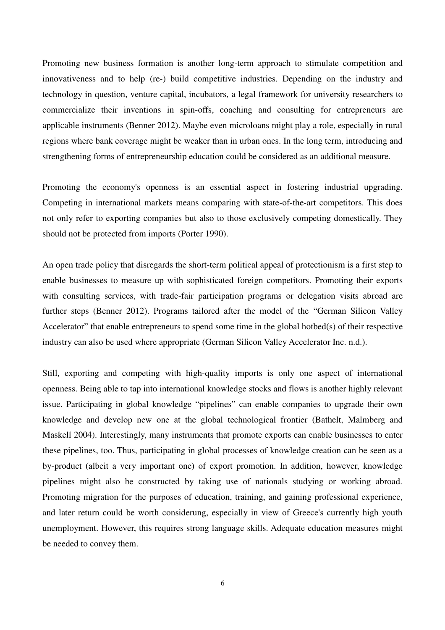Promoting new business formation is another long-term approach to stimulate competition and innovativeness and to help (re-) build competitive industries. Depending on the industry and technology in question, venture capital, incubators, a legal framework for university researchers to commercialize their inventions in spin-offs, coaching and consulting for entrepreneurs are applicable instruments (Benner 2012). Maybe even microloans might play a role, especially in rural regions where bank coverage might be weaker than in urban ones. In the long term, introducing and strengthening forms of entrepreneurship education could be considered as an additional measure.

Promoting the economy's openness is an essential aspect in fostering industrial upgrading. Competing in international markets means comparing with state-of-the-art competitors. This does not only refer to exporting companies but also to those exclusively competing domestically. They should not be protected from imports (Porter 1990).

An open trade policy that disregards the short-term political appeal of protectionism is a first step to enable businesses to measure up with sophisticated foreign competitors. Promoting their exports with consulting services, with trade-fair participation programs or delegation visits abroad are further steps (Benner 2012). Programs tailored after the model of the "German Silicon Valley Accelerator" that enable entrepreneurs to spend some time in the global hotbed(s) of their respective industry can also be used where appropriate (German Silicon Valley Accelerator Inc. n.d.).

Still, exporting and competing with high-quality imports is only one aspect of international openness. Being able to tap into international knowledge stocks and flows is another highly relevant issue. Participating in global knowledge "pipelines" can enable companies to upgrade their own knowledge and develop new one at the global technological frontier (Bathelt, Malmberg and Maskell 2004). Interestingly, many instruments that promote exports can enable businesses to enter these pipelines, too. Thus, participating in global processes of knowledge creation can be seen as a by-product (albeit a very important one) of export promotion. In addition, however, knowledge pipelines might also be constructed by taking use of nationals studying or working abroad. Promoting migration for the purposes of education, training, and gaining professional experience, and later return could be worth considerung, especially in view of Greece's currently high youth unemployment. However, this requires strong language skills. Adequate education measures might be needed to convey them.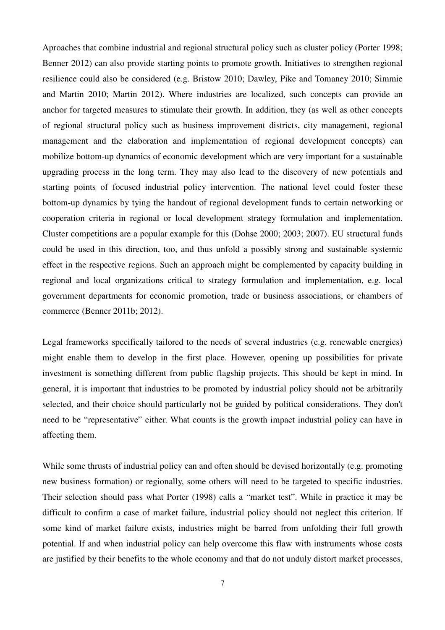Aproaches that combine industrial and regional structural policy such as cluster policy (Porter 1998; Benner 2012) can also provide starting points to promote growth. Initiatives to strengthen regional resilience could also be considered (e.g. Bristow 2010; Dawley, Pike and Tomaney 2010; Simmie and Martin 2010; Martin 2012). Where industries are localized, such concepts can provide an anchor for targeted measures to stimulate their growth. In addition, they (as well as other concepts of regional structural policy such as business improvement districts, city management, regional management and the elaboration and implementation of regional development concepts) can mobilize bottom-up dynamics of economic development which are very important for a sustainable upgrading process in the long term. They may also lead to the discovery of new potentials and starting points of focused industrial policy intervention. The national level could foster these bottom-up dynamics by tying the handout of regional development funds to certain networking or cooperation criteria in regional or local development strategy formulation and implementation. Cluster competitions are a popular example for this (Dohse 2000; 2003; 2007). EU structural funds could be used in this direction, too, and thus unfold a possibly strong and sustainable systemic effect in the respective regions. Such an approach might be complemented by capacity building in regional and local organizations critical to strategy formulation and implementation, e.g. local government departments for economic promotion, trade or business associations, or chambers of commerce (Benner 2011b; 2012).

Legal frameworks specifically tailored to the needs of several industries (e.g. renewable energies) might enable them to develop in the first place. However, opening up possibilities for private investment is something different from public flagship projects. This should be kept in mind. In general, it is important that industries to be promoted by industrial policy should not be arbitrarily selected, and their choice should particularly not be guided by political considerations. They don't need to be "representative" either. What counts is the growth impact industrial policy can have in affecting them.

While some thrusts of industrial policy can and often should be devised horizontally (e.g. promoting new business formation) or regionally, some others will need to be targeted to specific industries. Their selection should pass what Porter (1998) calls a "market test". While in practice it may be difficult to confirm a case of market failure, industrial policy should not neglect this criterion. If some kind of market failure exists, industries might be barred from unfolding their full growth potential. If and when industrial policy can help overcome this flaw with instruments whose costs are justified by their benefits to the whole economy and that do not unduly distort market processes,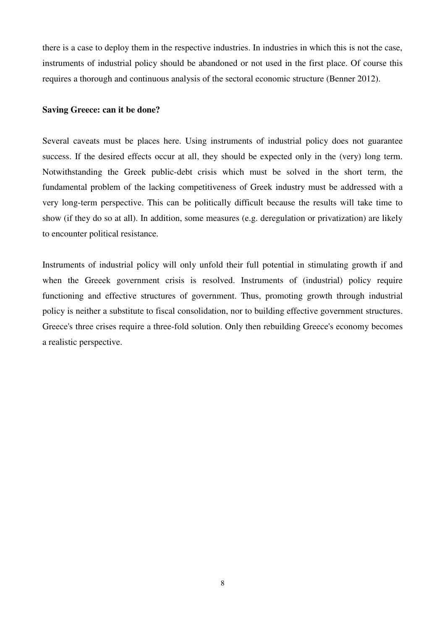there is a case to deploy them in the respective industries. In industries in which this is not the case, instruments of industrial policy should be abandoned or not used in the first place. Of course this requires a thorough and continuous analysis of the sectoral economic structure (Benner 2012).

#### **Saving Greece: can it be done?**

Several caveats must be places here. Using instruments of industrial policy does not guarantee success. If the desired effects occur at all, they should be expected only in the (very) long term. Notwithstanding the Greek public-debt crisis which must be solved in the short term, the fundamental problem of the lacking competitiveness of Greek industry must be addressed with a very long-term perspective. This can be politically difficult because the results will take time to show (if they do so at all). In addition, some measures (e.g. deregulation or privatization) are likely to encounter political resistance.

Instruments of industrial policy will only unfold their full potential in stimulating growth if and when the Greeek government crisis is resolved. Instruments of (industrial) policy require functioning and effective structures of government. Thus, promoting growth through industrial policy is neither a substitute to fiscal consolidation, nor to building effective government structures. Greece's three crises require a three-fold solution. Only then rebuilding Greece's economy becomes a realistic perspective.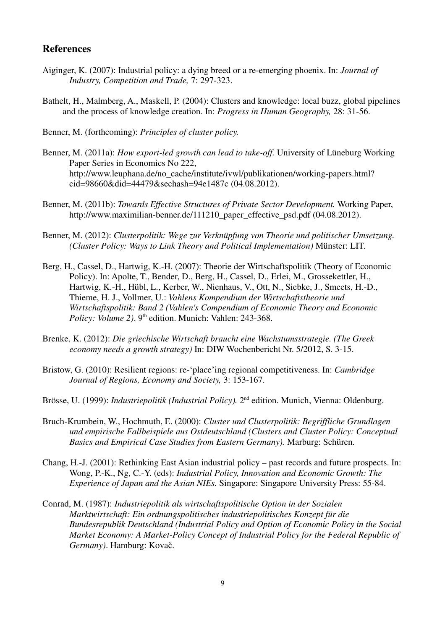## **References**

- Aiginger, K. (2007): Industrial policy: a dying breed or a re-emerging phoenix. In: *Journal of Industry, Competition and Trade,* 7: 297-323.
- Bathelt, H., Malmberg, A., Maskell, P. (2004): Clusters and knowledge: local buzz, global pipelines and the process of knowledge creation. In: *Progress in Human Geography,* 28: 31-56.

Benner, M. (forthcoming): *Principles of cluster policy.*

- Benner, M. (2011a): *How export-led growth can lead to take-off.* University of Lüneburg Working Paper Series in Economics No 222, http://www.leuphana.de/no\_cache/institute/ivwl/publikationen/working-papers.html? cid=98660&did=44479&sechash=94e1487c (04.08.2012).
- Benner, M. (2011b): *Towards Effective Structures of Private Sector Development.* Working Paper, http://www.maximilian-benner.de/111210\_paper\_effective\_psd.pdf (04.08.2012).
- Benner, M. (2012): *Clusterpolitik: Wege zur Verknüpfung von Theorie und politischer Umsetzung. (Cluster Policy: Ways to Link Theory and Political Implementation)* Münster: LIT.
- Berg, H., Cassel, D., Hartwig, K.-H. (2007): Theorie der Wirtschaftspolitik (Theory of Economic Policy). In: Apolte, T., Bender, D., Berg, H., Cassel, D., Erlei, M., Grossekettler, H., Hartwig, K.-H., Hübl, L., Kerber, W., Nienhaus, V., Ott, N., Siebke, J., Smeets, H.-D., Thieme, H. J., Vollmer, U.: *Vahlens Kompendium der Wirtschaftstheorie und Wirtschaftspolitik: Band 2 (Vahlen's Compendium of Economic Theory and Economic*  Policy: Volume 2). 9<sup>th</sup> edition. Munich: Vahlen: 243-368.
- Brenke, K. (2012): *Die griechische Wirtschaft braucht eine Wachstumsstrategie. (The Greek economy needs a growth strategy)* In: DIW Wochenbericht Nr. 5/2012, S. 3-15.
- Bristow, G. (2010): Resilient regions: re-ʻplace'ing regional competitiveness. In: *Cambridge Journal of Regions, Economy and Society,* 3: 153-167.
- Brösse, U. (1999): *Industriepolitik (Industrial Policy).* 2nd edition. Munich, Vienna: Oldenburg.
- Bruch-Krumbein, W., Hochmuth, E. (2000): *Cluster und Clusterpolitik: Begriffliche Grundlagen und empirische Fallbeispiele aus Ostdeutschland (Clusters and Cluster Policy: Conceptual Basics and Empirical Case Studies from Eastern Germany).* Marburg: Schüren.
- Chang, H.-J. (2001): Rethinking East Asian industrial policy past records and future prospects. In: Wong, P.-K., Ng, C.-Y. (eds): *Industrial Policy, Innovation and Economic Growth: The Experience of Japan and the Asian NIEs.* Singapore: Singapore University Press: 55-84.
- Conrad, M. (1987): *Industriepolitik als wirtschaftspolitische Option in der Sozialen Marktwirtschaft: Ein ordnungspolitisches industriepolitisches Konzept für die Bundesrepublik Deutschland (Industrial Policy and Option of Economic Policy in the Social Market Economy: A Market-Policy Concept of Industrial Policy for the Federal Republic of Germany)*. Hamburg: Kovač.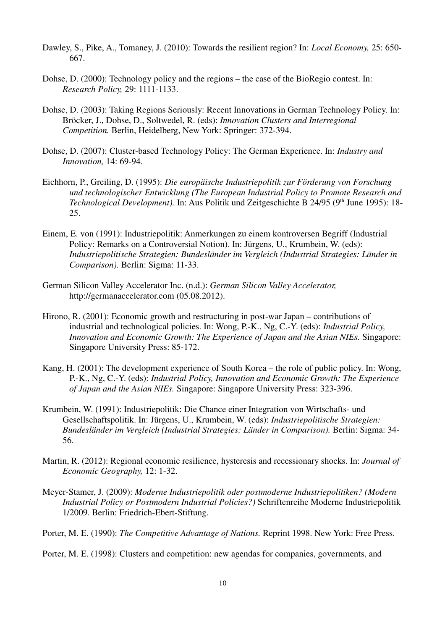- Dawley, S., Pike, A., Tomaney, J. (2010): Towards the resilient region? In: *Local Economy,* 25: 650- 667.
- Dohse, D. (2000): Technology policy and the regions the case of the BioRegio contest. In: *Research Policy,* 29: 1111-1133.
- Dohse, D. (2003): Taking Regions Seriously: Recent Innovations in German Technology Policy. In: Bröcker, J., Dohse, D., Soltwedel, R. (eds): *Innovation Clusters and Interregional Competition.* Berlin, Heidelberg, New York: Springer: 372-394.
- Dohse, D. (2007): Cluster-based Technology Policy: The German Experience. In: *Industry and Innovation,* 14: 69-94.
- Eichhorn, P., Greiling, D. (1995): *Die europäische Industriepolitik zur Förderung von Forschung und technologischer Entwicklung (The European Industrial Policy to Promote Research and Technological Development*). In: Aus Politik und Zeitgeschichte B 24/95 (9<sup>th</sup> June 1995): 18-25.
- Einem, E. von (1991): Industriepolitik: Anmerkungen zu einem kontroversen Begriff (Industrial Policy: Remarks on a Controversial Notion). In: Jürgens, U., Krumbein, W. (eds): *Industriepolitische Strategien: Bundesländer im Vergleich (Industrial Strategies: Länder in Comparison).* Berlin: Sigma: 11-33.
- German Silicon Valley Accelerator Inc. (n.d.): *German Silicon Valley Accelerator,* http://germanaccelerator.com (05.08.2012).
- Hirono, R. (2001): Economic growth and restructuring in post-war Japan contributions of industrial and technological policies. In: Wong, P.-K., Ng, C.-Y. (eds): *Industrial Policy, Innovation and Economic Growth: The Experience of Japan and the Asian NIEs.* Singapore: Singapore University Press: 85-172.
- Kang, H. (2001): The development experience of South Korea the role of public policy. In: Wong, P.-K., Ng, C.-Y. (eds): *Industrial Policy, Innovation and Economic Growth: The Experience of Japan and the Asian NIEs.* Singapore: Singapore University Press: 323-396.
- Krumbein, W. (1991): Industriepolitik: Die Chance einer Integration von Wirtschafts- und Gesellschaftspolitik. In: Jürgens, U., Krumbein, W. (eds): *Industriepolitische Strategien: Bundesländer im Vergleich (Industrial Strategies: Länder in Comparison).* Berlin: Sigma: 34- 56.
- Martin, R. (2012): Regional economic resilience, hysteresis and recessionary shocks. In: *Journal of Economic Geography,* 12: 1-32.
- Meyer-Stamer, J. (2009): *Moderne Industriepolitik oder postmoderne Industriepolitiken? (Modern Industrial Policy or Postmodern Industrial Policies?)* Schriftenreihe Moderne Industriepolitik 1/2009. Berlin: Friedrich-Ebert-Stiftung.

Porter, M. E. (1990): *The Competitive Advantage of Nations.* Reprint 1998. New York: Free Press.

Porter, M. E. (1998): Clusters and competition: new agendas for companies, governments, and